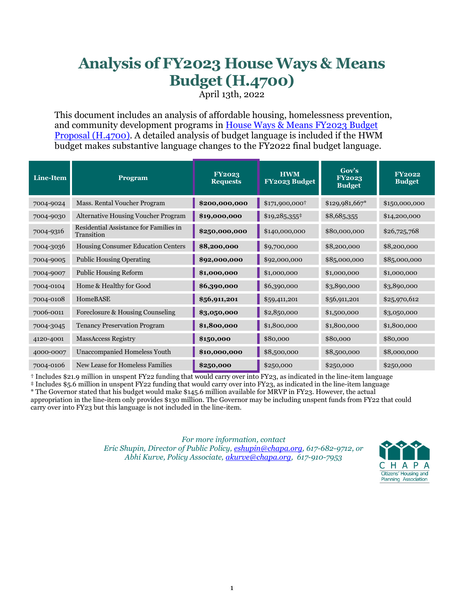# **Analysis of FY2023 House Ways & Means Budget (H.4700)**

April 13th, 2022

This document includes an analysis of affordable housing, homelessness prevention, and community development programs in [House Ways & Means FY2023](https://malegislature.gov/Budget/FY2023/HouseWaysMeansBudget/Chairman_s_Letter) Budget [Proposal \(H.4700\).](https://malegislature.gov/Budget/FY2023/HouseWaysMeansBudget/Chairman_s_Letter) A detailed analysis of budget language is included if the HWM budget makes substantive language changes to the FY2022 final budget language.

| Line-Item | <b>Program</b>                                       | <b>FY2023</b><br><b>Requests</b> | <b>HWM</b><br>FY2023 Budget | Gov's<br><b>FY2023</b><br><b>Budget</b> | <b>FY2022</b><br><b>Budget</b> |
|-----------|------------------------------------------------------|----------------------------------|-----------------------------|-----------------------------------------|--------------------------------|
| 7004-9024 | Mass. Rental Voucher Program                         | \$200,000,000                    | \$171,900,000+              | \$129,981,667*                          | \$150,000,000                  |
| 7004-9030 | <b>Alternative Housing Voucher Program</b>           | \$19,000,000                     | $$19,285,355^{\ddagger}$    | \$8,685,355                             | \$14,200,000                   |
| 7004-9316 | Residential Assistance for Families in<br>Transition | \$250,000,000                    | \$140,000,000               | \$80,000,000                            | \$26,725,768                   |
| 7004-3036 | Housing Consumer Education Centers                   | \$8,200,000                      | \$9,700,000                 | \$8,200,000                             | \$8,200,000                    |
| 7004-9005 | <b>Public Housing Operating</b>                      | \$92,000,000                     | \$92,000,000                | \$85,000,000                            | \$85,000,000                   |
| 7004-9007 | <b>Public Housing Reform</b>                         | \$1,000,000                      | \$1,000,000                 | \$1,000,000                             | \$1,000,000                    |
| 7004-0104 | Home & Healthy for Good                              | \$6,390,000                      | \$6,390,000                 | \$3,890,000                             | \$3,890,000                    |
| 7004-0108 | <b>HomeBASE</b>                                      | \$56,911,201                     | \$59,411,201                | \$56,911,201                            | \$25,970,612                   |
| 7006-0011 | Foreclosure & Housing Counseling                     | \$3,050,000                      | \$2,850,000                 | \$1,500,000                             | \$3,050,000                    |
| 7004-3045 | <b>Tenancy Preservation Program</b>                  | \$1,800,000                      | \$1,800,000                 | \$1,800,000                             | \$1,800,000                    |
| 4120-4001 | <b>MassAccess Registry</b>                           | \$150,000                        | \$80,000                    | \$80,000                                | \$80,000                       |
| 4000-0007 | Unaccompanied Homeless Youth                         | \$10,000,000                     | \$8,500,000                 | \$8,500,000                             | \$8,000,000                    |
| 7004-0106 | New Lease for Homeless Families                      | \$250,000                        | \$250,000                   | \$250,000                               | \$250,000                      |

† Includes \$21.9 million in unspent FY22 funding that would carry over into FY23, as indicated in the line-item language

‡ Includes \$5.6 million in unspent FY22 funding that would carry over into FY23, as indicated in the line-item language

\* The Governor stated that his budget would make \$145.6 million available for MRVP in FY23. However, the actual appropriation in the line-item only provides \$130 million. The Governor may be including unspent funds from FY22 that could carry over into FY23 but this language is not included in the line-item.

> *For more information, contact Eric Shupin, Director of Public Policy, [eshupin@chapa.org,](mailto:eshupin@chapa.org) 617-682-9712, or Abhi Kurve, Policy Associate[, akurve@chapa.org,](mailto:akurve@chapa.org) 617-910-7953*

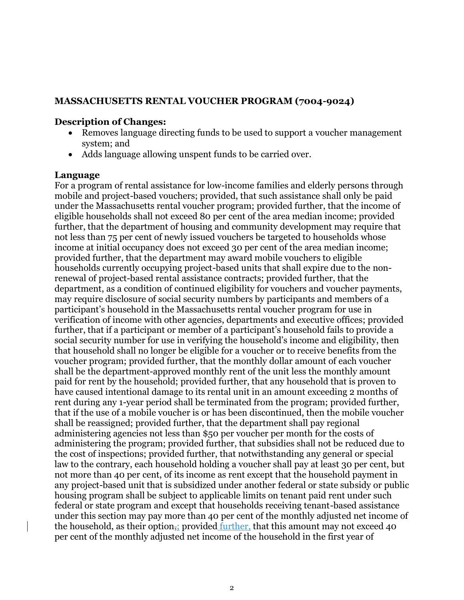### **MASSACHUSETTS RENTAL VOUCHER PROGRAM (7004-9024)**

### **Description of Changes:**

- Removes language directing funds to be used to support a voucher management system; and
- Adds language allowing unspent funds to be carried over.

### **Language**

For a program of rental assistance for low-income families and elderly persons through mobile and project-based vouchers; provided, that such assistance shall only be paid under the Massachusetts rental voucher program; provided further, that the income of eligible households shall not exceed 80 per cent of the area median income; provided further, that the department of housing and community development may require that not less than 75 per cent of newly issued vouchers be targeted to households whose income at initial occupancy does not exceed 30 per cent of the area median income; provided further, that the department may award mobile vouchers to eligible households currently occupying project-based units that shall expire due to the nonrenewal of project-based rental assistance contracts; provided further, that the department, as a condition of continued eligibility for vouchers and voucher payments, may require disclosure of social security numbers by participants and members of a participant's household in the Massachusetts rental voucher program for use in verification of income with other agencies, departments and executive offices; provided further, that if a participant or member of a participant's household fails to provide a social security number for use in verifying the household's income and eligibility, then that household shall no longer be eligible for a voucher or to receive benefits from the voucher program; provided further, that the monthly dollar amount of each voucher shall be the department-approved monthly rent of the unit less the monthly amount paid for rent by the household; provided further, that any household that is proven to have caused intentional damage to its rental unit in an amount exceeding 2 months of rent during any 1-year period shall be terminated from the program; provided further, that if the use of a mobile voucher is or has been discontinued, then the mobile voucher shall be reassigned; provided further, that the department shall pay regional administering agencies not less than \$50 per voucher per month for the costs of administering the program; provided further, that subsidies shall not be reduced due to the cost of inspections; provided further, that notwithstanding any general or special law to the contrary, each household holding a voucher shall pay at least 30 per cent, but not more than 40 per cent, of its income as rent except that the household payment in any project-based unit that is subsidized under another federal or state subsidy or public housing program shall be subject to applicable limits on tenant paid rent under such federal or state program and except that households receiving tenant-based assistance under this section may pay more than 40 per cent of the monthly adjusted net income of the household, as their option, provided further, that this amount may not exceed 40 per cent of the monthly adjusted net income of the household in the first year of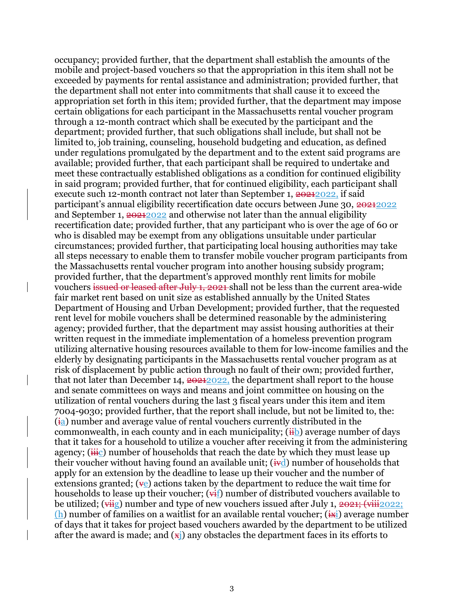occupancy; provided further, that the department shall establish the amounts of the mobile and project-based vouchers so that the appropriation in this item shall not be exceeded by payments for rental assistance and administration; provided further, that the department shall not enter into commitments that shall cause it to exceed the appropriation set forth in this item; provided further, that the department may impose certain obligations for each participant in the Massachusetts rental voucher program through a 12-month contract which shall be executed by the participant and the department; provided further, that such obligations shall include, but shall not be limited to, job training, counseling, household budgeting and education, as defined under regulations promulgated by the department and to the extent said programs are available; provided further, that each participant shall be required to undertake and meet these contractually established obligations as a condition for continued eligibility in said program; provided further, that for continued eligibility, each participant shall execute such 12-month contract not later than September 1, 20212022, if said participant's annual eligibility recertification date occurs between June 30, 20212022 and September 1, 20212022 and otherwise not later than the annual eligibility recertification date; provided further, that any participant who is over the age of 60 or who is disabled may be exempt from any obligations unsuitable under particular circumstances; provided further, that participating local housing authorities may take all steps necessary to enable them to transfer mobile voucher program participants from the Massachusetts rental voucher program into another housing subsidy program; provided further, that the department's approved monthly rent limits for mobile vouchers issued or leased after July 1, 2021 shall not be less than the current area-wide fair market rent based on unit size as established annually by the United States Department of Housing and Urban Development; provided further, that the requested rent level for mobile vouchers shall be determined reasonable by the administering agency; provided further, that the department may assist housing authorities at their written request in the immediate implementation of a homeless prevention program utilizing alternative housing resources available to them for low-income families and the elderly by designating participants in the Massachusetts rental voucher program as at risk of displacement by public action through no fault of their own; provided further, that not later than December 14,  $20222$ , the department shall report to the house and senate committees on ways and means and joint committee on housing on the utilization of rental vouchers during the last 3 fiscal years under this item and item 7004-9030; provided further, that the report shall include, but not be limited to, the:  $(i<sub>a</sub>)$  number and average value of rental vouchers currently distributed in the commonwealth, in each county and in each municipality;  $(i<sub>i</sub>b)$  average number of daysthat it takes for a household to utilize a voucher after receiving it from the administering agency;  $(i\ddot{H}c)$  number of households that reach the date by which they must lease up their voucher without having found an available unit;  $(i \cdot d)$  number of households that apply for an extension by the deadline to lease up their voucher and the number of extensions granted;  $(\psi_e)$  actions taken by the department to reduce the wait time for households to lease up their voucher;  $(\vec{H})$  number of distributed vouchers available to be utilized;  $(\overrightarrow{vis})$  number and type of new vouchers issued after July 1, 2021;  $(\overrightarrow{vii})_{2022}$ ; (h) number of families on a waitlist for an available rental voucher;  $(i\pi i)$  average number of days that it takes for project based vouchers awarded by the department to be utilized after the award is made; and  $(x<sub>i</sub>)$  any obstacles the department faces in its efforts to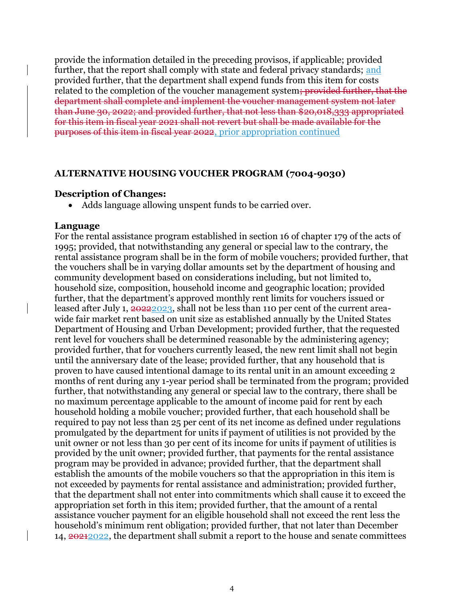provide the information detailed in the preceding provisos, if applicable; provided further, that the report shall comply with state and federal privacy standards; and provided further, that the department shall expend funds from this item for costs related to the completion of the voucher management system; provided further, that the department shall complete and implement the voucher management system not later than June 30, 2022; and provided further, that not less than \$20,018,333 appropriated for this item in fiscal year 2021 shall not revert but shall be made available for the purposes of this item in fiscal year 2022, prior appropriation continued

#### **ALTERNATIVE HOUSING VOUCHER PROGRAM (7004-9030)**

#### **Description of Changes:**

• Adds language allowing unspent funds to be carried over.

#### **Language**

For the rental assistance program established in section 16 of chapter 179 of the acts of 1995; provided, that notwithstanding any general or special law to the contrary, the rental assistance program shall be in the form of mobile vouchers; provided further, that the vouchers shall be in varying dollar amounts set by the department of housing and community development based on considerations including, but not limited to, household size, composition, household income and geographic location; provided further, that the department's approved monthly rent limits for vouchers issued or leased after July 1, 2022/2023, shall not be less than 110 per cent of the current areawide fair market rent based on unit size as established annually by the United States Department of Housing and Urban Development; provided further, that the requested rent level for vouchers shall be determined reasonable by the administering agency; provided further, that for vouchers currently leased, the new rent limit shall not begin until the anniversary date of the lease; provided further, that any household that is proven to have caused intentional damage to its rental unit in an amount exceeding 2 months of rent during any 1-year period shall be terminated from the program; provided further, that notwithstanding any general or special law to the contrary, there shall be no maximum percentage applicable to the amount of income paid for rent by each household holding a mobile voucher; provided further, that each household shall be required to pay not less than 25 per cent of its net income as defined under regulations promulgated by the department for units if payment of utilities is not provided by the unit owner or not less than 30 per cent of its income for units if payment of utilities is provided by the unit owner; provided further, that payments for the rental assistance program may be provided in advance; provided further, that the department shall establish the amounts of the mobile vouchers so that the appropriation in this item is not exceeded by payments for rental assistance and administration; provided further, that the department shall not enter into commitments which shall cause it to exceed the appropriation set forth in this item; provided further, that the amount of a rental assistance voucher payment for an eligible household shall not exceed the rent less the household's minimum rent obligation; provided further, that not later than December 14, 20212022, the department shall submit a report to the house and senate committees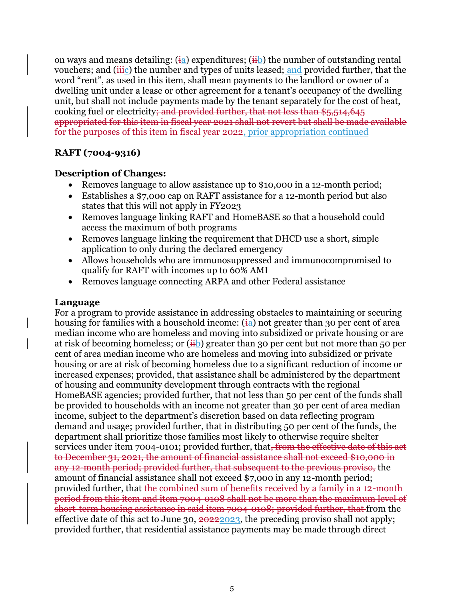on ways and means detailing:  $(i_a)$  expenditures;  $(i_b)$  the number of outstanding rental vouchers; and  $(i\ddot{H})$  the number and types of units leased; and provided further, that the word "rent", as used in this item, shall mean payments to the landlord or owner of a dwelling unit under a lease or other agreement for a tenant's occupancy of the dwelling unit, but shall not include payments made by the tenant separately for the cost of heat, cooking fuel or electricity; and provided further, that not less than \$5,514,645 appropriated for this item in fiscal year 2021 shall not revert but shall be made available for the purposes of this item in fiscal year 2022, prior appropriation continued

# **RAFT (7004-9316)**

### **Description of Changes:**

- Removes language to allow assistance up to \$10,000 in a 12-month period;
- Establishes a \$7,000 cap on RAFT assistance for a 12-month period but also states that this will not apply in FY2023
- Removes language linking RAFT and HomeBASE so that a household could access the maximum of both programs
- Removes language linking the requirement that DHCD use a short, simple application to only during the declared emergency
- Allows households who are immunosuppressed and immunocompromised to qualify for RAFT with incomes up to 60% AMI
- Removes language connecting ARPA and other Federal assistance

### **Language**

For a program to provide assistance in addressing obstacles to maintaining or securing housing for families with a household income:  $(i_{a})$  not greater than 30 per cent of area median income who are homeless and moving into subsidized or private housing or are at risk of becoming homeless; or  $(\frac{1}{H})$  greater than 30 per cent but not more than 50 per cent of area median income who are homeless and moving into subsidized or private housing or are at risk of becoming homeless due to a significant reduction of income or increased expenses; provided, that assistance shall be administered by the department of housing and community development through contracts with the regional HomeBASE agencies; provided further, that not less than 50 per cent of the funds shall be provided to households with an income not greater than 30 per cent of area median income, subject to the department's discretion based on data reflecting program demand and usage; provided further, that in distributing 50 per cent of the funds, the department shall prioritize those families most likely to otherwise require shelter services under item 7004-0101; provided further, that, from the effective date of this act to December 31, 2021, the amount of financial assistance shall not exceed \$10,000 in any 12-month period; provided further, that subsequent to the previous proviso, the amount of financial assistance shall not exceed \$7,000 in any 12-month period; provided further, that the combined sum of benefits received by a family in a 12-month period from this item and item 7004-0108 shall not be more than the maximum level of short-term housing assistance in said item 7004-0108; provided further, that from the effective date of this act to June 30,  $20222023$ , the preceding proviso shall not apply; provided further, that residential assistance payments may be made through direct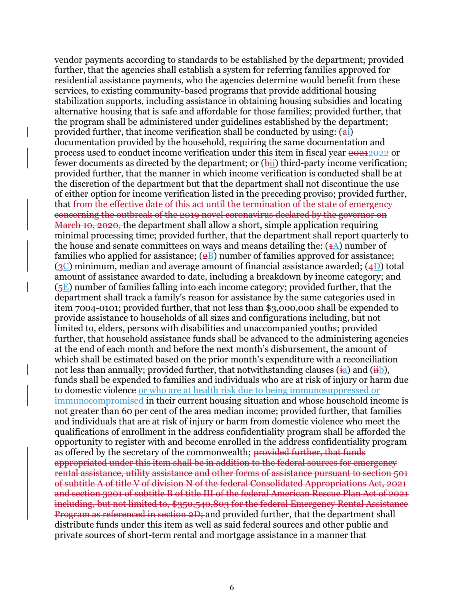vendor payments according to standards to be established by the department; provided further, that the agencies shall establish a system for referring families approved for residential assistance payments, who the agencies determine would benefit from these services, to existing community-based programs that provide additional housing stabilization supports, including assistance in obtaining housing subsidies and locating alternative housing that is safe and affordable for those families; provided further, that the program shall be administered under guidelines established by the department; provided further, that income verification shall be conducted by using:  $(a<sub>i</sub>)$ documentation provided by the household, requiring the same documentation and process used to conduct income verification under this item in fiscal year 20212022 or fewer documents as directed by the department; or  $(\frac{h}{h})$  third-party income verification; provided further, that the manner in which income verification is conducted shall be at the discretion of the department but that the department shall not discontinue the use of either option for income verification listed in the preceding proviso; provided further, that from the effective date of this act until the termination of the state of emergency concerning the outbreak of the 2019 novel coronavirus declared by the governor on March 10, 2020, the department shall allow a short, simple application requiring minimal processing time; provided further, that the department shall report quarterly to the house and senate committees on ways and means detailing the:  $(1A)$  number of families who applied for assistance;  $(2B)$  number of families approved for assistance;  $(g<sub>C</sub>)$  minimum, median and average amount of financial assistance awarded;  $(4D)$  total amount of assistance awarded to date, including a breakdown by income category; and  $(5E)$  number of families falling into each income category; provided further, that the department shall track a family's reason for assistance by the same categories used in item 7004-0101; provided further, that not less than \$3,000,000 shall be expended to provide assistance to households of all sizes and configurations including, but not limited to, elders, persons with disabilities and unaccompanied youths; provided further, that household assistance funds shall be advanced to the administering agencies at the end of each month and before the next month's disbursement, the amount of which shall be estimated based on the prior month's expenditure with a reconciliation not less than annually; provided further, that notwithstanding clauses  $(i_a)$  and  $(i_b)$ , funds shall be expended to families and individuals who are at risk of injury or harm due to domestic violence or who are at health risk due to being immunosuppressed or immunocompromised in their current housing situation and whose household income is not greater than 60 per cent of the area median income; provided further, that families and individuals that are at risk of injury or harm from domestic violence who meet the qualifications of enrollment in the address confidentiality program shall be afforded the opportunity to register with and become enrolled in the address confidentiality program as offered by the secretary of the commonwealth; provided further, that funds appropriated under this item shall be in addition to the federal sources for emergency rental assistance, utility assistance and other forms of assistance pursuant to section 501 of subtitle A of title V of division N of the federal Consolidated Appropriations Act, 2021 and section 3201 of subtitle B of title III of the federal American Rescue Plan Act of 2021 including, but not limited to, \$350,540,803 for the federal Emergency Rental Assistance Program as referenced in section 2D; and provided further, that the department shall distribute funds under this item as well as said federal sources and other public and private sources of short-term rental and mortgage assistance in a manner that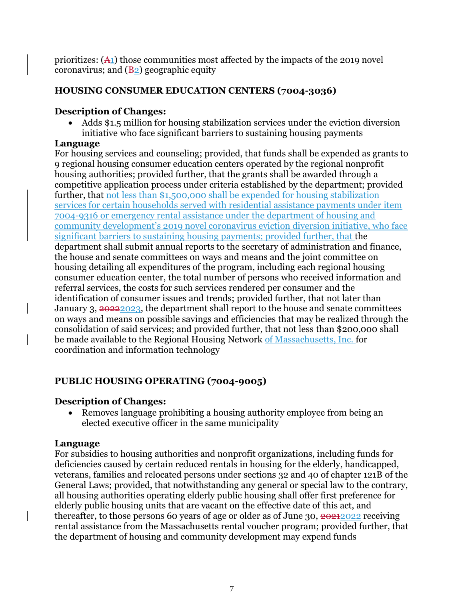prioritizes: (A1) those communities most affected by the impacts of the 2019 novel coronavirus; and  $(\frac{B_2}{2})$  geographic equity

# **HOUSING CONSUMER EDUCATION CENTERS (7004-3036)**

### **Description of Changes:**

• Adds \$1.5 million for housing stabilization services under the eviction diversion initiative who face significant barriers to sustaining housing payments

# **Language**

For housing services and counseling; provided, that funds shall be expended as grants to 9 regional housing consumer education centers operated by the regional nonprofit housing authorities; provided further, that the grants shall be awarded through a competitive application process under criteria established by the department; provided further, that not less than \$1,500,000 shall be expended for housing stabilization services for certain households served with residential assistance payments under item 7004-9316 or emergency rental assistance under the department of housing and community development's 2019 novel coronavirus eviction diversion initiative, who face significant barriers to sustaining housing payments; provided further, that the department shall submit annual reports to the secretary of administration and finance, the house and senate committees on ways and means and the joint committee on housing detailing all expenditures of the program, including each regional housing consumer education center, the total number of persons who received information and referral services, the costs for such services rendered per consumer and the identification of consumer issues and trends; provided further, that not later than January 3, 20222023, the department shall report to the house and senate committees on ways and means on possible savings and efficiencies that may be realized through the consolidation of said services; and provided further, that not less than \$200,000 shall be made available to the Regional Housing Network of Massachusetts, Inc. for coordination and information technology

# **PUBLIC HOUSING OPERATING (7004-9005)**

### **Description of Changes:**

• Removes language prohibiting a housing authority employee from being an elected executive officer in the same municipality

# **Language**

For subsidies to housing authorities and nonprofit organizations, including funds for deficiencies caused by certain reduced rentals in housing for the elderly, handicapped, veterans, families and relocated persons under sections 32 and 40 of chapter 121B of the General Laws; provided, that notwithstanding any general or special law to the contrary, all housing authorities operating elderly public housing shall offer first preference for elderly public housing units that are vacant on the effective date of this act, and thereafter, to those persons 60 years of age or older as of June 30, 20212022 receiving rental assistance from the Massachusetts rental voucher program; provided further, that the department of housing and community development may expend funds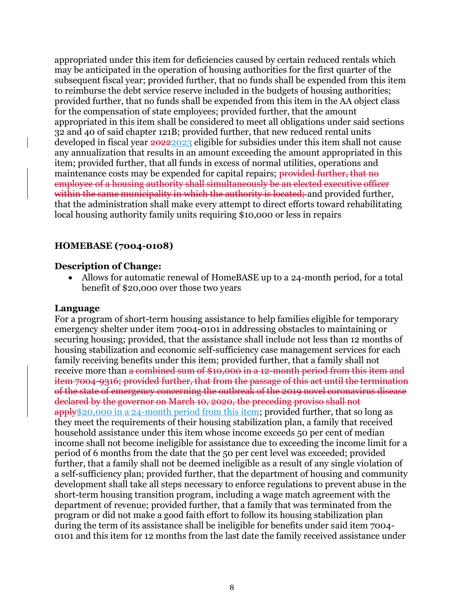appropriated under this item for deficiencies caused by certain reduced rentals which may be anticipated in the operation of housing authorities for the first quarter of the subsequent fiscal year; provided further, that no funds shall be expended from this item to reimburse the debt service reserve included in the budgets of housing authorities; provided further, that no funds shall be expended from this item in the AA object class for the compensation of state employees; provided further, that the amount appropriated in this item shall be considered to meet all obligations under said sections 32 and 40 of said chapter 121B; provided further, that new reduced rental units developed in fiscal year  $20222023$  eligible for subsidies under this item shall not cause any annualization that results in an amount exceeding the amount appropriated in this item; provided further, that all funds in excess of normal utilities, operations and maintenance costs may be expended for capital repairs; provided further, that no employee of a housing authority shall simultaneously be an elected executive officer within the same municipality in which the authority is located; and provided further, that the administration shall make every attempt to direct efforts toward rehabilitating local housing authority family units requiring \$10,000 or less in repairs

### **HOMEBASE (7004-0108)**

### **Description of Change:**

• Allows for automatic renewal of HomeBASE up to a 24-month period, for a total benefit of \$20,000 over those two years

### **Language**

For a program of short-term housing assistance to help families eligible for temporary emergency shelter under item 7004-0101 in addressing obstacles to maintaining or securing housing; provided, that the assistance shall include not less than 12 months of housing stabilization and economic self-sufficiency case management services for each family receiving benefits under this item; provided further, that a family shall not receive more than a combined sum of \$10,000 in a 12-month period from this item and item 7004-9316; provided further, that from the passage of this act until the termination of the state of emergency concerning the outbreak of the 2019 novel coronavirus disease declared by the governor on March 10, 2020, the preceding proviso shall not apply\$20,000 in a 24-month period from this item; provided further, that so long as they meet the requirements of their housing stabilization plan, a family that received household assistance under this item whose income exceeds 50 per cent of median income shall not become ineligible for assistance due to exceeding the income limit for a period of 6 months from the date that the 50 per cent level was exceeded; provided further, that a family shall not be deemed ineligible as a result of any single violation of a self-sufficiency plan; provided further, that the department of housing and community development shall take all steps necessary to enforce regulations to prevent abuse in the short-term housing transition program, including a wage match agreement with the department of revenue; provided further, that a family that was terminated from the program or did not make a good faith effort to follow its housing stabilization plan during the term of its assistance shall be ineligible for benefits under said item 7004- 0101 and this item for 12 months from the last date the family received assistance under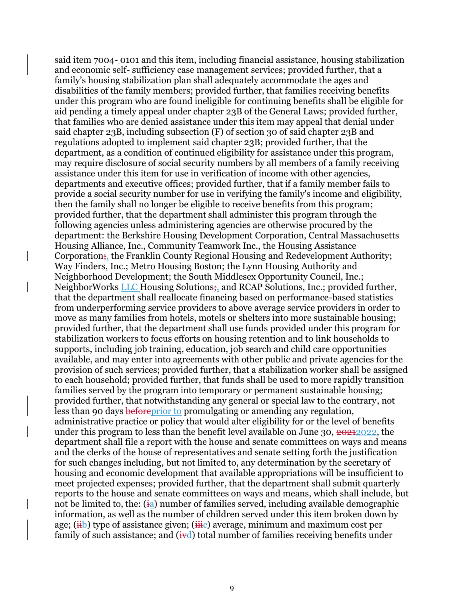said item 7004- 0101 and this item, including financial assistance, housing stabilization and economic self--sufficiency case management services; provided further, that a family's housing stabilization plan shall adequately accommodate the ages and disabilities of the family members; provided further, that families receiving benefits under this program who are found ineligible for continuing benefits shall be eligible for aid pending a timely appeal under chapter 23B of the General Laws; provided further, that families who are denied assistance under this item may appeal that denial under said chapter 23B, including subsection (F) of section 30 of said chapter 23B and regulations adopted to implement said chapter 23B; provided further, that the department, as a condition of continued eligibility for assistance under this program, may require disclosure of social security numbers by all members of a family receiving assistance under this item for use in verification of income with other agencies, departments and executive offices; provided further, that if a family member fails to provide a social security number for use in verifying the family's income and eligibility, then the family shall no longer be eligible to receive benefits from this program; provided further, that the department shall administer this program through the following agencies unless administering agencies are otherwise procured by the department: the Berkshire Housing Development Corporation, Central Massachusetts Housing Alliance, Inc., Community Teamwork Inc., the Housing Assistance Corporation; the Franklin County Regional Housing and Redevelopment Authority; Way Finders, Inc.; Metro Housing Boston; the Lynn Housing Authority and Neighborhood Development; the South Middlesex Opportunity Council, Inc.; NeighborWorks **LLC** Housing Solutions; and RCAP Solutions, Inc.; provided further, that the department shall reallocate financing based on performance-based statistics from underperforming service providers to above average service providers in order to move as many families from hotels, motels or shelters into more sustainable housing; provided further, that the department shall use funds provided under this program for stabilization workers to focus efforts on housing retention and to link households to supports, including job training, education, job search and child care opportunities available, and may enter into agreements with other public and private agencies for the provision of such services; provided further, that a stabilization worker shall be assigned to each household; provided further, that funds shall be used to more rapidly transition families served by the program into temporary or permanent sustainable housing; provided further, that notwithstanding any general or special law to the contrary, not less than 90 days beforeprior to promulgating or amending any regulation, administrative practice or policy that would alter eligibility for or the level of benefits under this program to less than the benefit level available on June 30, 20212022, the department shall file a report with the house and senate committees on ways and means and the clerks of the house of representatives and senate setting forth the justification for such changes including, but not limited to, any determination by the secretary of housing and economic development that available appropriations will be insufficient to meet projected expenses; provided further, that the department shall submit quarterly reports to the house and senate committees on ways and means, which shall include, but not be limited to, the:  $(i_a)$  number of families served, including available demographic information, as well as the number of children served under this item broken down by age;  $(i\text{th})$  type of assistance given;  $(i\text{th})$  average, minimum and maximum cost per family of such assistance; and  $(i \nabla d)$  total number of families receiving benefits under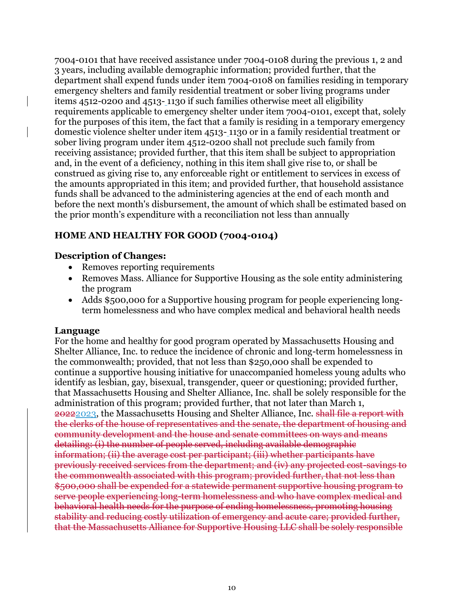7004-0101 that have received assistance under 7004-0108 during the previous 1, 2 and 3 years, including available demographic information; provided further, that the department shall expend funds under item 7004-0108 on families residing in temporary emergency shelters and family residential treatment or sober living programs under items 4512-0200 and 4513- 1130 if such families otherwise meet all eligibility requirements applicable to emergency shelter under item 7004-0101, except that, solely for the purposes of this item, the fact that a family is residing in a temporary emergency domestic violence shelter under item 4513- 1130 or in a family residential treatment or sober living program under item 4512-0200 shall not preclude such family from receiving assistance; provided further, that this item shall be subject to appropriation and, in the event of a deficiency, nothing in this item shall give rise to, or shall be construed as giving rise to, any enforceable right or entitlement to services in excess of the amounts appropriated in this item; and provided further, that household assistance funds shall be advanced to the administering agencies at the end of each month and before the next month's disbursement, the amount of which shall be estimated based on the prior month's expenditure with a reconciliation not less than annually

# **HOME AND HEALTHY FOR GOOD (7004-0104)**

### **Description of Changes:**

- Removes reporting requirements
- Removes Mass. Alliance for Supportive Housing as the sole entity administering the program
- Adds \$500,000 for a Supportive housing program for people experiencing longterm homelessness and who have complex medical and behavioral health needs

### **Language**

For the home and healthy for good program operated by Massachusetts Housing and Shelter Alliance, Inc. to reduce the incidence of chronic and long-term homelessness in the commonwealth; provided, that not less than \$250,000 shall be expended to continue a supportive housing initiative for unaccompanied homeless young adults who identify as lesbian, gay, bisexual, transgender, queer or questioning; provided further, that Massachusetts Housing and Shelter Alliance, Inc. shall be solely responsible for the administration of this program; provided further, that not later than March 1, 20222023, the Massachusetts Housing and Shelter Alliance, Inc. shall file a report with the clerks of the house of representatives and the senate, the department of housing and community development and the house and senate committees on ways and means detailing: (i) the number of people served, including available demographic information; (ii) the average cost per participant; (iii) whether participants have previously received services from the department; and (iv) any projected cost-savings to the commonwealth associated with this program; provided further, that not less than \$500,000 shall be expended for a statewide permanent supportive housing program to serve people experiencing long-term homelessness and who have complex medical and behavioral health needs for the purpose of ending homelessness, promoting housing stability and reducing costly utilization of emergency and acute care; provided further, that the Massachusetts Alliance for Supportive Housing LLC shall be solely responsible